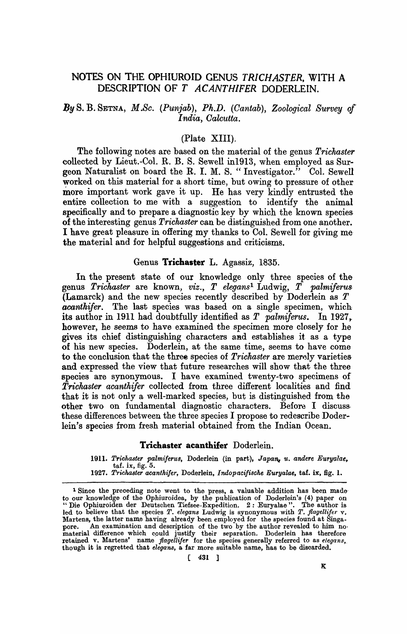# NOTES ON THE OPHIUROID GENUS *TRICHASTER,* 'WITH A DESCRIPTION OF T ACANTHIFER DODERLEIN.

# *.8y* S. B. SETNA, *M.Sc. (Punjab), Ph.D. (Cantab), Zoological Survey of' India, Oalcutta.*

## (Plate XIII).

The following notes are based on the material of the genus *Trichaster*  collected by Lieut.-Col. R. B. S. Sewell in1913, when employed as Surgeon Naturalist on board the R. I. M. S. "Investigator." Col. Sewell worked on this material for a short time, but owing to pressure of other more important work gave it up. He has very kindly entrusted the entire collection to me with a suggestion to identify the animal specifically and to prepare a diagnostic key by which the known species of the interesting genus *Trickaster* can be distinguished from one another. I have great pleasure in offering my thanks to Col. Sewell for giving me· the material and for helpful suggestions and criticisms.

#### Genus Trichaster L. Agassiz, 1835.

In the present state of our knowledge only three species of the genus *Trichaster* are known, *viz., T elegans1* Ludwig, *T palmiferus.*  (Lamarck) and the new species recently described by Doderlein as T *acanthifer*. The last species was based on a single specimen, which its author in 1911 had doubtfully identified as *T palmiferus*. In 1927, however, he seems to have examined the specimen more closely for he gives its chief distinguishing characters and establishes it as a type of his new species. Doderlein, at the same time, seems to have come to the conclusion that the three species of *Trichaster* are merely varieties and expressed the view that future researches will show that the three species are synonymous. I have examined twenty-two specimens of *Trichaster acanthifer* collected from three different localities and find that it is not only a well-marked species, but is distinguished from the other two on fundamental diagnostic characters. Before I discussthese differences between the three species I propose to redescribe Doderlein's species from fresh material obtained from the Indian Ocean.

### Trichaster acanthifer Doderlein.

1911. Trichaster palmiferus, Doderlein (in part), Japan, u. andere Euryalae,  $\text{taf. ix}, \text{fig. 5.}$ 

*<sup>1927.</sup> Trickaster acantkifer,* Doderlein, *lrulopacifische Euryalae,* taf. ix, fig. 1.

<sup>&</sup>lt;sup>1</sup> Since the preceding note went to the press, a valuable addition has been made to our knowledge of the Ophiuroidea, by the publication of Doderlein's (4) paper on "Die Ophiuroiden der Deutschen Tiefsee-Expedition. 2: Euryalae". The author is led to believe that the species *T. elegans* Ludwig is synonymous with *T. flagellifet* v. Martens, the latter name having already been employed for the species found at Singapore. An examination and description of the two by the author revealed to him no. material difference which cpuld justify their separation. Doderlein has therefore retained v. Martens' name *flagellifer* for the species generally referred to as *elegans*, though it is regretted that *elegans*, a far more suitable name, has to be discarded.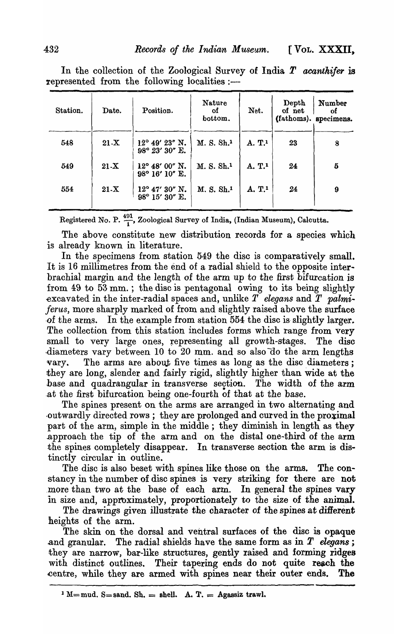| Station. | Date.  | Position.                                 | <b>Nature</b><br>οf<br>bottom. | Net.               | Depth<br>of net | Number<br>οf<br>(fathoms). specimens. |
|----------|--------|-------------------------------------------|--------------------------------|--------------------|-----------------|---------------------------------------|
| 548      | $21-X$ | $12^{\circ}$ 49' 23" N.<br>98° 23' 30" E. | M. S. Sh. <sup>1</sup>         | A. T.1             | 23              | 8                                     |
| 549      | $21-X$ | $12^{\circ}$ 48' 00" N.<br>98° 16' 10" E. | M. S. Sh. <sup>1</sup>         | A. T.1             | 24              | 5                                     |
| 554      | $21-X$ | $12^{\circ}$ 47' 30" N.<br>98° 15' 30" E. | M. S. Sh. <sup>1</sup>         | A. T. <sup>1</sup> | 24              | 9                                     |

In the collection of the Zoological Survey of India *T* acanthifer is represented from the following localities :-

Registered No. P.  $\frac{491}{1}$ , Zoological Survey of India, (Indian Museum), Calcutta.

The above constitute new distribution records for a species which is already known in literature.

In the specimens from station 549 the disc is comparatively small. It is 16 millimetres from the end of a radial shield to the opposite interbrachial margin and the length of the arm up to the first bifurcation is from  $49$  to  $53$  mm.; the disc is pentagonal owing to its being slightly -excavated in the inter-radial spaces and, unlike *T elegans* and T *palmiferus,* more sharply marked of from and slightly raised above the surface of the arms. In the example from station 554 the disc is slightly larger. The collection from this station includes forms which range from very small to very large ones, representing all growth-stages. The disc diameters vary between 10 to 20 mm. and so also do the arm lengths vary. The arms are about five times as long as the disc diameters; they are long, slender and fairly rigid, slightly higher than Wide at the base and quadrangular in transverse section. The width of the arm .at the first bifurcation being one-fourth of that at the base.

The spines present on the arms are arranged in two alternating and outwardly directed rows; they are prolonged and curved in the proximal part of the arm, simple in the middle; they diminish in length as they .approach the tip of the arm and on the distal one-third of the arm the spines completely disappear. In transverse section the arm is distinctly circular in outline.

The disc is also beset with spines like those on the arms. The constancy in the number of disc spines is very striking for there are not .more than two at the base of each arm. In general the spines vary in size and, approximately, proportionately to the size of the animal.

The drawings given illustrate the character of the spines at different heights of the arm.

The skin on the dorsal and ventral surfaces of the disc is opaque .and granular. The radial shields have the same form as in *T elegans;*  they are narrow, bar-like structures, gently raised and forming ridges with distinct outlines. Their tapering ends do not quite reach the centre, while they are armed with spines near their outer ends. The

 $\mathbf{I} \mathbf{M} = \text{mud. } \mathbf{S} = \text{sand. } \mathbf{Sh.} = \text{shell. } \mathbf{A. } \mathbf{T.} = \text{Agassiz trav.}$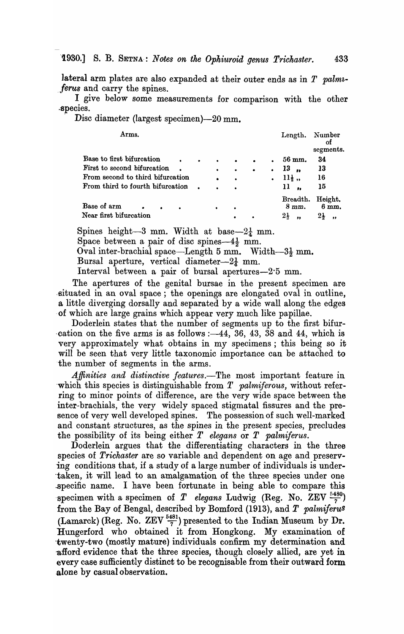lateral arm plates are also expanded at their outer ends as in  $T$  palm*ferus* and carry the spines.

I give below some measurements for comparison with the other ~'Species.

Disc diameter (largest specimen)-20 mm.

| Arms.                                                           |                |           |                |           |   | Length.                                   | Number<br>Οf<br>segments.                         |
|-----------------------------------------------------------------|----------------|-----------|----------------|-----------|---|-------------------------------------------|---------------------------------------------------|
| Base to first bifurcation                                       | $\bullet$      | $\bullet$ |                | $\bullet$ |   | 56 mm.                                    | 34                                                |
| First to second bifurcation                                     |                | $\bullet$ | $\bullet$      | $\bullet$ |   | 13<br>$\bullet$                           | 13                                                |
| From second to third bifurcation                                |                | $\bullet$ |                |           | ٠ | $11\frac{1}{2}$ ,                         | 16                                                |
| From third to fourth bifurcation                                | $\blacksquare$ | $\bullet$ |                |           |   | 11<br>$\bullet\bullet$                    | 15                                                |
| Base of arm<br>$\bullet$<br>$\bullet$<br>Near first bifurcation |                | ٠         | ٠<br>$\bullet$ |           |   | Breadth.<br>8 mm.<br>$2\frac{1}{2}$<br>,, | Height.<br>6mm.<br>$2\frac{1}{2}$<br>$^{\bullet}$ |

Spines height-3 mm. Width at base- $2\frac{1}{4}$  mm.

Space between a pair of disc spines- $4\frac{1}{2}$  mm.

Oval inter-brachial space—Length 5 mm. Width—3 $\frac{1}{2}$  mm.

Bursal aperture, vertical diameter- $2\frac{1}{4}$  mm.

Interval between a pair of bursal apertures-2.5 mm.

The apertures of the genital bursae in the present specimen are .situated in an oval space; the openings are elongated oval in outline, a little diverging dorsally and separated by a wide wall along the edges of which are large grains which appear very much like papillae.

Doderlein states that the number of segments up to the first bifur cation on the five arms is as follows  $:$  -44, 36, 43, 38 and 44, which is very approximately what obtains in my specimens; this being so it will be seen that very little taxonomic importance can be attached to ·the number of segments in the arms.

*Affinities and distinctive features.-The* most important feature in which this species is distinguishable from *T palmiferous*, without referring to minor points of difference, are the very wide space between the inter-brachials, the very widely spaced stigmatal fissures and the presence of very well developed spines. The possession of such well-marked and constant structures, as the spines in the present species, precludes the possibility of its being either *T elegans* or *T palmiferus.* 

Doderlein argues that the differentiating characters in the three species of *Trichaster* are so variable and dependent on age and preserving conditions that, if a study of a large number of individuals is under- -taken, it will lead to an amalgamation of the three species under one specific name. I have been fortunate in being able to compare this specimen with a specimen of *T elegans* Ludwig (Reg. No. ZEV  $\frac{5480}{7}$ ) from the Bay of Bengal, described by Bomford (1913), and *T palmiferu*<sup>S</sup> (Lamarck) (Reg. No. ZEV  $\frac{5481}{7}$ ) presented to the Indian Museum by Dr. Hungerford who obtained it from Hongkong. My examination of -twenty-two (mostly mature) individuals confirm my determination and afford evidence that the three species, though closely allied, are yet in every case sufficiently distinct to be recognisable from their outward form alone by casual observation.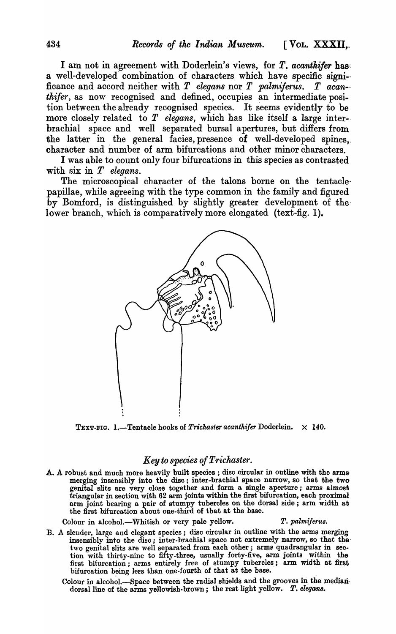I am not in agreement with Doderlein's views, for T. *acanthifer* has: a well-developed combination of characters which have specific signi-ficance and accord neither with T *elegans* nor T *palmiferus.* T *acan- thifer*, as now recognised and defined, occupies an intermediate position between the already recognised species. It seems evidently to be more closely related to T *elegans,* which has like itself a large inter- brachial space and well separated bursal apertures, but differs from the latter in the general facies, presence of well-developed spines, character and number of arm bifurcations and other minor characters.

I was able to count only four bifurcations in this species as contrasted with six in T *elegans*.

The microscopical character of the talons borne on the tentaclepapillae, while agreeing with the type common in the family and figured by Bomford, is distinguished by slightly greater development of thelower branch, which is comparatively more elongated (text-fig. 1).



TEXT-FIG. 1.—Tentacle hooks of *Trichaster acanthifer* Doderlein.  $\times$  140.

### *Key to species of Trickaster.*

A. A robust and much more heavily built species; disc circular in outline with the arms merging insensibly into the disc; inter-brachial space narrow, so that the two genital slits are very close together and form a single aperture; arms almost triangular in section with 62 arm joints within the first bifurcation, each proximal arm joint bearing a pair of stumpy tubercles on the dorsal side; arm width at the first bifurcation about one-third of that at the base.

Colour in alcohol.-Whitish or very pale yellow. T. palmiferus.

- B. A slender, large and elegant species; disc circular in outline with the arms merging insensibly into the disc; inter-brachial space not extremely narrow, so that the two genital slits are well separated from each other; arms quadrangular in section with thirty-nine to fifty-three, usually forty.five, arm joints within the first bifurcation; arms entirely free of stumpy tubercles; arm width at first bifurcation being less than one-fourth of that at the base.
	- Colour in alcohol.-Space between the radial shields and the grooves in the mediandorsal line of the arms yellowish-brown; the rest light yellow. *T. elegans.*